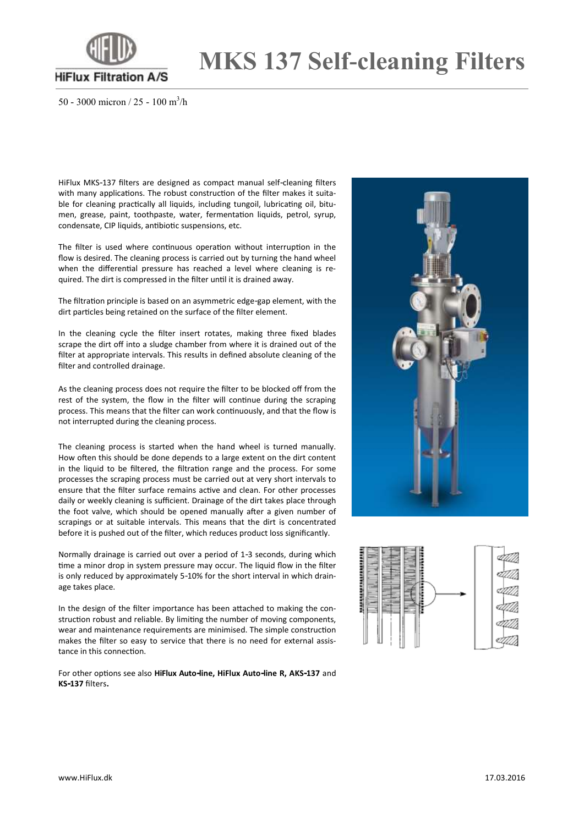

**MKS 137 Self-cleaning Filters**

50 - 3000 micron / 25 - 100 m<sup>3</sup> /h

HiFlux MKS-137 filters are designed as compact manual self-cleaning filters with many applications. The robust construction of the filter makes it suitable for cleaning practically all liquids, including tungoil, lubricating oil, bitumen, grease, paint, toothpaste, water, fermentation liquids, petrol, syrup, condensate, CIP liquids, antibiotic suspensions, etc.

The filter is used where continuous operation without interruption in the flow is desired. The cleaning process is carried out by turning the hand wheel when the differential pressure has reached a level where cleaning is required. The dirt is compressed in the filter until it is drained away.

The filtration principle is based on an asymmetric edge-gap element, with the dirt particles being retained on the surface of the filter element.

In the cleaning cycle the filter insert rotates, making three fixed blades scrape the dirt off into a sludge chamber from where it is drained out of the filter at appropriate intervals. This results in defined absolute cleaning of the filter and controlled drainage.

As the cleaning process does not require the filter to be blocked off from the rest of the system, the flow in the filter will continue during the scraping process. This means that the filter can work continuously, and that the flow is not interrupted during the cleaning process.

The cleaning process is started when the hand wheel is turned manually. How often this should be done depends to a large extent on the dirt content in the liquid to be filtered, the filtration range and the process. For some processes the scraping process must be carried out at very short intervals to ensure that the filter surface remains active and clean. For other processes daily or weekly cleaning is sufficient. Drainage of the dirt takes place through the foot valve, which should be opened manually after a given number of scrapings or at suitable intervals. This means that the dirt is concentrated before it is pushed out of the filter, which reduces product loss significantly.

Normally drainage is carried out over a period of 1-3 seconds, during which time a minor drop in system pressure may occur. The liquid flow in the filter is only reduced by approximately 5-10% for the short interval in which drainage takes place.

In the design of the filter importance has been attached to making the construction robust and reliable. By limiting the number of moving components, wear and maintenance requirements are minimised. The simple construction makes the filter so easy to service that there is no need for external assistance in this connection.

For other options see also **HiFlux Auto-line, HiFlux Auto-line R, AKS-137** and **KS-137** filters**.**